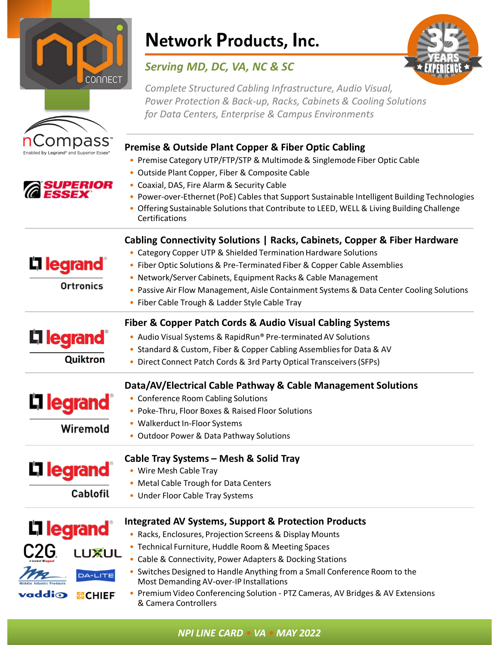

**ompass** 

**SUPERIOR** 

# **Network Products, Inc.**

### *Serving MD, DC, VA, NC & SC*



*Complete Structured Cabling Infrastructure, Audio Visual, Power Protection & Back-up, Racks, Cabinets & Cooling Solutions for Data Centers, Enterprise & Campus Environments* 

### **Premise & Outside Plant Copper & Fiber Optic Cabling**

• Premise Category UTP/FTP/STP & Multimode & Singlemode Fiber Optic Cable

### • Outside Plant Copper, Fiber & Composite Cable

- Coaxial, DAS, Fire Alarm & Security Cable
- Power-over-Ethernet (PoE) Cables that Support Sustainable Intelligent Building Technologies
- Offering Sustainable Solutions that Contribute to LEED, WELL & Living Building Challenge **Certifications**

### **Cabling Connectivity Solutions | Racks, Cabinets, Copper & Fiber Hardware**

• Category Copper UTP & Shielded Termination Hardware Solutions

• Network/Server Cabinets, Equipment Racks & Cable Management

- Fiber Optic Solutions & Pre-Terminated Fiber & Copper Cable Assemblies
- Ortronics

Quiktron

Wiremold

**Cablofil** 

**L1 legrand** 

L<sub>legrand</sub>®

- Passive Air Flow Management, Aisle Containment Systems & Data Center Cooling Solutions
- Fiber Cable Trough & Ladder Style Cable Tray

### **Fiber & Copper Patch Cords & Audio Visual Cabling Systems**

- Audio Visual Systems & RapidRun® Pre-terminated AV Solutions
- Standard & Custom, Fiber & Copper Cabling Assemblies for Data & AV
- Direct Connect Patch Cords & 3rd Party Optical Transceivers (SFPs)

### **Data/AV/Electrical Cable Pathway & Cable Management Solutions**

- **L1 legrand** • Conference Room Cabling Solutions
	- Poke-Thru, Floor Boxes & Raised Floor Solutions
	- Walkerduct In-Floor Systems
	- Outdoor Power & Data Pathway Solutions

# **L'1 legrand**

#### **Cable Tray Systems – Mesh & Solid Tray** • Wire Mesh Cable Tray

- Metal Cable Trough for Data Centers
- Under Floor Cable Tray Systems

## L'1 legrand<sup>®</sup> **LUXUL** DA-LITE **addio OCHIEF**

### **Integrated AV Systems, Support & Protection Products**

- Racks, Enclosures, Projection Screens & Display Mounts • Technical Furniture, Huddle Room & Meeting Spaces
	- Cable & Connectivity, Power Adapters & Docking Stations • Switches Designed to Handle Anything from a Small Conference Room to the
	- Most Demanding AV-over-IP Installations
		- Premium Video Conferencing Solution PTZ Cameras, AV Bridges & AV Extensions & Camera Controllers

*NPI LINE CARD • VA • MAY 2022*